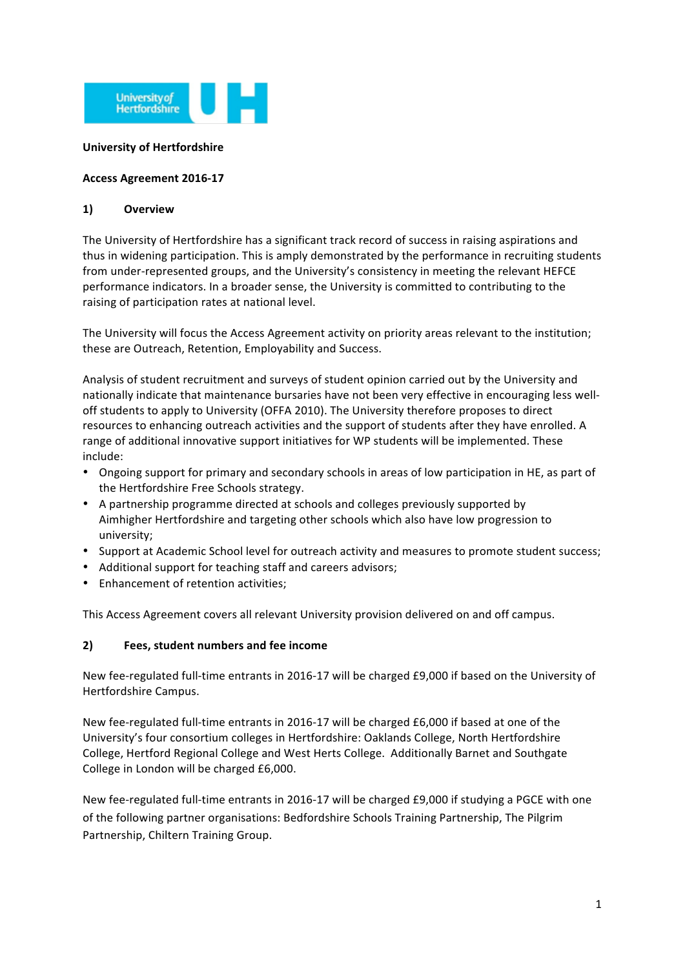

#### **University of Hertfordshire**

#### **Access Agreement 2016-17**

#### **1) Overview**

The University of Hertfordshire has a significant track record of success in raising aspirations and thus in widening participation. This is amply demonstrated by the performance in recruiting students from under-represented groups, and the University's consistency in meeting the relevant HEFCE performance indicators. In a broader sense, the University is committed to contributing to the raising of participation rates at national level.

The University will focus the Access Agreement activity on priority areas relevant to the institution; these are Outreach, Retention, Employability and Success.

Analysis of student recruitment and surveys of student opinion carried out by the University and nationally indicate that maintenance bursaries have not been very effective in encouraging less welloff students to apply to University (OFFA 2010). The University therefore proposes to direct resources to enhancing outreach activities and the support of students after they have enrolled. A range of additional innovative support initiatives for WP students will be implemented. These include:

- Ongoing support for primary and secondary schools in areas of low participation in HE, as part of the Hertfordshire Free Schools strategy.
- A partnership programme directed at schools and colleges previously supported by Aimhigher Hertfordshire and targeting other schools which also have low progression to university;
- Support at Academic School level for outreach activity and measures to promote student success;
- Additional support for teaching staff and careers advisors;
- Enhancement of retention activities;

This Access Agreement covers all relevant University provision delivered on and off campus.

#### 2) **Fees, student numbers and fee income**

New fee-regulated full-time entrants in 2016-17 will be charged £9,000 if based on the University of Hertfordshire Campus.

New fee-regulated full-time entrants in 2016-17 will be charged £6,000 if based at one of the University's four consortium colleges in Hertfordshire: Oaklands College, North Hertfordshire College, Hertford Regional College and West Herts College. Additionally Barnet and Southgate College in London will be charged £6,000.

New fee-regulated full-time entrants in 2016-17 will be charged £9,000 if studying a PGCE with one of the following partner organisations: Bedfordshire Schools Training Partnership, The Pilgrim Partnership, Chiltern Training Group.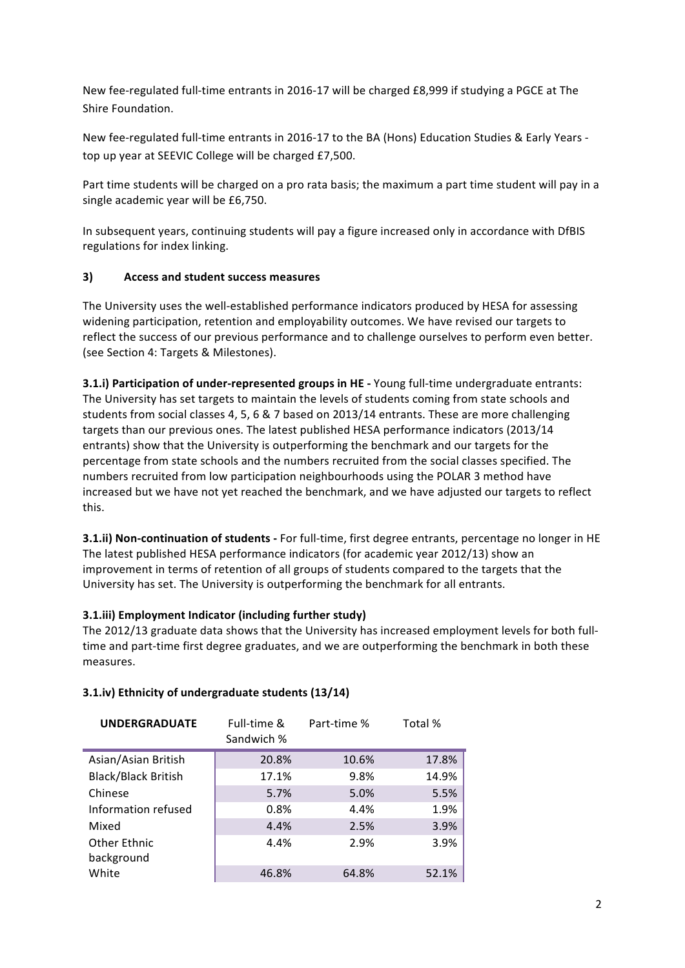New fee-regulated full-time entrants in 2016-17 will be charged £8,999 if studying a PGCE at The Shire Foundation.

New fee-regulated full-time entrants in 2016-17 to the BA (Hons) Education Studies & Early Years top up year at SEEVIC College will be charged £7,500.

Part time students will be charged on a pro rata basis; the maximum a part time student will pay in a single academic year will be £6,750.

In subsequent years, continuing students will pay a figure increased only in accordance with DfBIS regulations for index linking.

## **3) Access!and!student!success!measures**

The University uses the well-established performance indicators produced by HESA for assessing widening participation, retention and employability outcomes. We have revised our targets to reflect the success of our previous performance and to challenge ourselves to perform even better. (see Section 4: Targets & Milestones).

**3.1.i) Participation of under-represented groups in HE - Young full-time undergraduate entrants:** The University has set targets to maintain the levels of students coming from state schools and students from social classes 4, 5, 6 & 7 based on 2013/14 entrants. These are more challenging targets than our previous ones. The latest published HESA performance indicators (2013/14 entrants) show that the University is outperforming the benchmark and our targets for the percentage from state schools and the numbers recruited from the social classes specified. The numbers recruited from low participation neighbourhoods using the POLAR 3 method have increased but we have not yet reached the benchmark, and we have adjusted our targets to reflect this.

**3.1.ii) Non-continuation of students** - For full-time, first degree entrants, percentage no longer in HE The latest published HESA performance indicators (for academic year 2012/13) show an improvement in terms of retention of all groups of students compared to the targets that the University has set. The University is outperforming the benchmark for all entrants.

## **3.1.iii) Employment Indicator (including further study)**

The 2012/13 graduate data shows that the University has increased employment levels for both fulltime and part-time first degree graduates, and we are outperforming the benchmark in both these measures."

| <b>UNDERGRADUATE</b>       | Full-time &<br>Sandwich % | Part-time % | Total % |
|----------------------------|---------------------------|-------------|---------|
| Asian/Asian British        | 20.8%                     | 10.6%       | 17.8%   |
| <b>Black/Black British</b> | 17.1%                     | 9.8%        | 14.9%   |
| Chinese                    | 5.7%                      | 5.0%        | 5.5%    |
| Information refused        | 0.8%                      | 4.4%        | 1.9%    |
| Mixed                      | 4.4%                      | 2.5%        | 3.9%    |
| <b>Other Ethnic</b>        | 4.4%                      | 2.9%        | 3.9%    |
| background                 |                           |             |         |
| White                      | 46.8%                     | 64.8%       | 52.1%   |

## **3.1.iv) Ethnicity of undergraduate students (13/14)**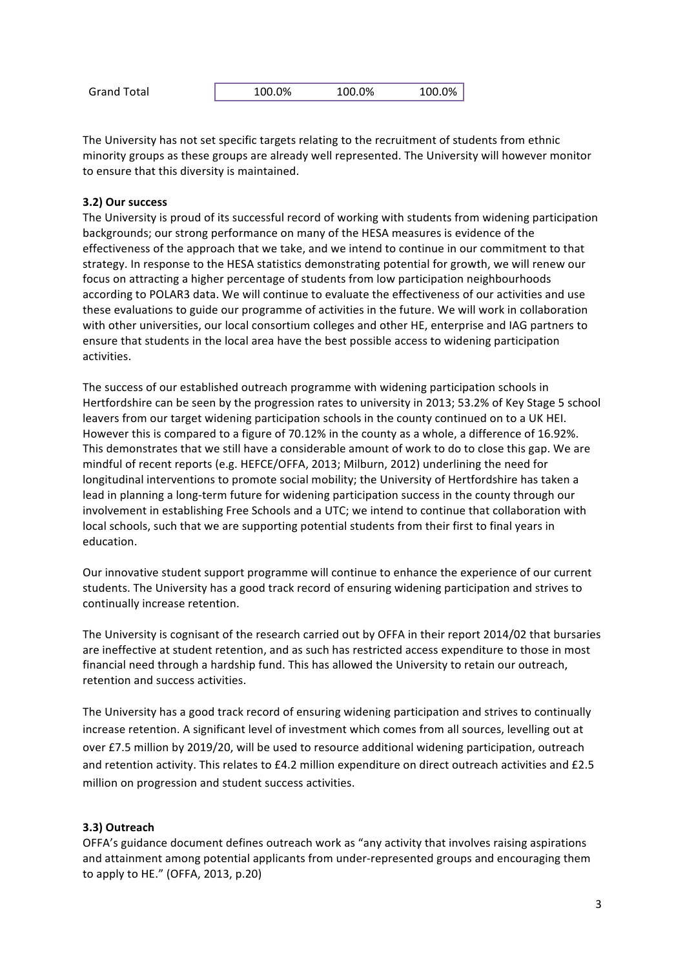The University has not set specific targets relating to the recruitment of students from ethnic minority groups as these groups are already well represented. The University will however monitor to ensure that this diversity is maintained.

## **3.2) Our success**

The University is proud of its successful record of working with students from widening participation backgrounds; our strong performance on many of the HESA measures is evidence of the effectiveness of the approach that we take, and we intend to continue in our commitment to that strategy. In response to the HESA statistics demonstrating potential for growth, we will renew our focus on attracting a higher percentage of students from low participation neighbourhoods according to POLAR3 data. We will continue to evaluate the effectiveness of our activities and use these evaluations to guide our programme of activities in the future. We will work in collaboration with other universities, our local consortium colleges and other HE, enterprise and IAG partners to ensure that students in the local area have the best possible access to widening participation activities.

The success of our established outreach programme with widening participation schools in Hertfordshire can be seen by the progression rates to university in 2013; 53.2% of Key Stage 5 school leavers from our target widening participation schools in the county continued on to a UK HEI. However this is compared to a figure of 70.12% in the county as a whole, a difference of 16.92%. This demonstrates that we still have a considerable amount of work to do to close this gap. We are mindful of recent reports (e.g. HEFCE/OFFA, 2013; Milburn, 2012) underlining the need for longitudinal interventions to promote social mobility; the University of Hertfordshire has taken a lead in planning a long-term future for widening participation success in the county through our involvement in establishing Free Schools and a UTC; we intend to continue that collaboration with local schools, such that we are supporting potential students from their first to final years in education.

Our innovative student support programme will continue to enhance the experience of our current students. The University has a good track record of ensuring widening participation and strives to continually increase retention.

The University is cognisant of the research carried out by OFFA in their report 2014/02 that bursaries are ineffective at student retention, and as such has restricted access expenditure to those in most financial need through a hardship fund. This has allowed the University to retain our outreach, retention and success activities.

The University has a good track record of ensuring widening participation and strives to continually increase retention. A significant level of investment which comes from all sources, levelling out at over £7.5 million by 2019/20, will be used to resource additional widening participation, outreach and retention activity. This relates to £4.2 million expenditure on direct outreach activities and £2.5 million on progression and student success activities.

#### **3.3)!Outreach**

OFFA's guidance document defines outreach work as "any activity that involves raising aspirations" and attainment among potential applicants from under-represented groups and encouraging them to apply to HE." (OFFA, 2013, p.20)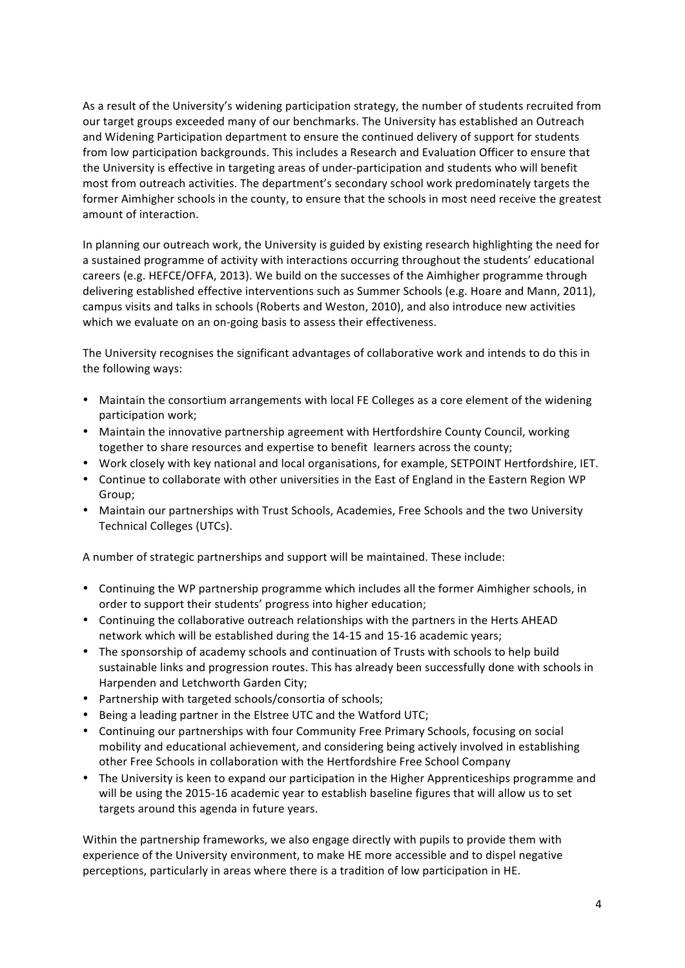As a result of the University's widening participation strategy, the number of students recruited from our target groups exceeded many of our benchmarks. The University has established an Outreach and Widening Participation department to ensure the continued delivery of support for students from low participation backgrounds. This includes a Research and Evaluation Officer to ensure that the University is effective in targeting areas of under-participation and students who will benefit most from outreach activities. The department's secondary school work predominately targets the former Aimhigher schools in the county, to ensure that the schools in most need receive the greatest amount of interaction.

In planning our outreach work, the University is guided by existing research highlighting the need for a sustained programme of activity with interactions occurring throughout the students' educational careers (e.g. HEFCE/OFFA, 2013). We build on the successes of the Aimhigher programme through delivering established effective interventions such as Summer Schools (e.g. Hoare and Mann, 2011), campus visits and talks in schools (Roberts and Weston, 2010), and also introduce new activities which we evaluate on an on-going basis to assess their effectiveness.

The University recognises the significant advantages of collaborative work and intends to do this in the following ways:

- Maintain the consortium arrangements with local FE Colleges as a core element of the widening participation work;
- Maintain the innovative partnership agreement with Hertfordshire County Council, working together to share resources and expertise to benefit learners across the county;
- Work closely with key national and local organisations, for example, SETPOINT Hertfordshire, IET.
- Continue to collaborate with other universities in the East of England in the Eastern Region WP Group;
- Maintain our partnerships with Trust Schools, Academies, Free Schools and the two University Technical Colleges (UTCs).

A number of strategic partnerships and support will be maintained. These include:

- Continuing the WP partnership programme which includes all the former Aimhigher schools, in order to support their students' progress into higher education;
- Continuing the collaborative outreach relationships with the partners in the Herts AHEAD network which will be established during the 14-15 and 15-16 academic years;
- The sponsorship of academy schools and continuation of Trusts with schools to help build sustainable links and progression routes. This has already been successfully done with schools in Harpenden and Letchworth Garden City;
- Partnership with targeted schools/consortia of schools;
- Being a leading partner in the Elstree UTC and the Watford UTC;
- Continuing our partnerships with four Community Free Primary Schools, focusing on social mobility and educational achievement, and considering being actively involved in establishing other Free Schools in collaboration with the Hertfordshire Free School Company
- The University is keen to expand our participation in the Higher Apprenticeships programme and will be using the 2015-16 academic year to establish baseline figures that will allow us to set targets around this agenda in future years.

Within the partnership frameworks, we also engage directly with pupils to provide them with experience of the University environment, to make HE more accessible and to dispel negative perceptions, particularly in areas where there is a tradition of low participation in HE.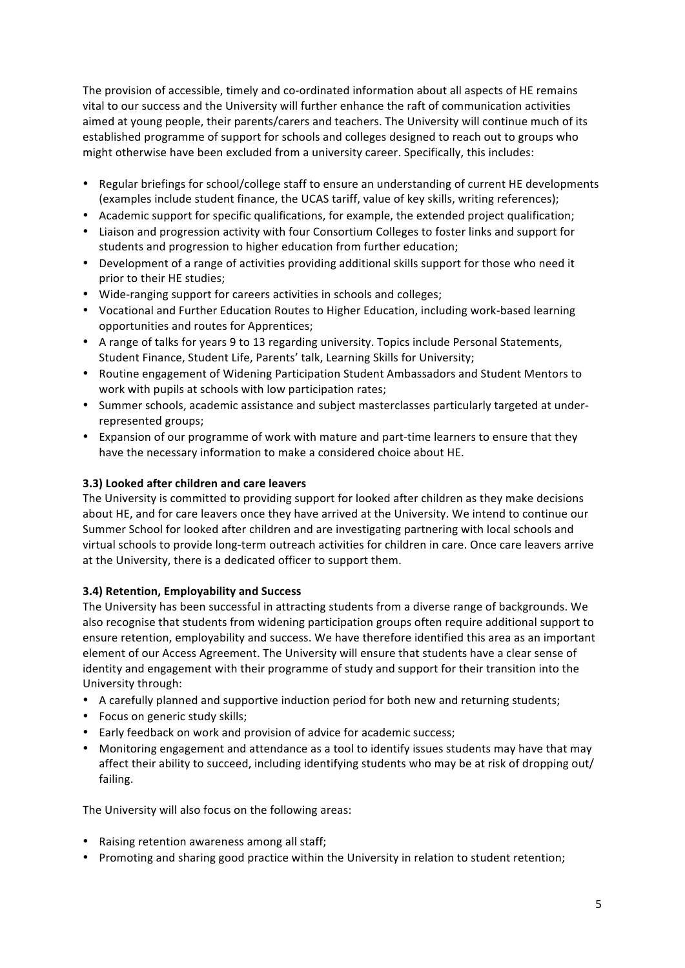The provision of accessible, timely and co-ordinated information about all aspects of HE remains vital to our success and the University will further enhance the raft of communication activities aimed at young people, their parents/carers and teachers. The University will continue much of its established programme of support for schools and colleges designed to reach out to groups who might otherwise have been excluded from a university career. Specifically, this includes:

- Regular briefings for school/college staff to ensure an understanding of current HE developments (examples include student finance, the UCAS tariff, value of key skills, writing references);
- Academic support for specific qualifications, for example, the extended project qualification;
- Liaison and progression activity with four Consortium Colleges to foster links and support for students and progression to higher education from further education;
- Development of a range of activities providing additional skills support for those who need it prior to their HE studies;
- Wide-ranging support for careers activities in schools and colleges;
- Vocational and Further Education Routes to Higher Education, including work-based learning opportunities and routes for Apprentices;
- A range of talks for years 9 to 13 regarding university. Topics include Personal Statements, Student Finance, Student Life, Parents' talk, Learning Skills for University;
- Routine engagement of Widening Participation Student Ambassadors and Student Mentors to work with pupils at schools with low participation rates;
- Summer schools, academic assistance and subject masterclasses particularly targeted at underrepresented groups;
- Expansion of our programme of work with mature and part-time learners to ensure that they have the necessary information to make a considered choice about HE.

### **3.3) Looked after children and care leavers**

The University is committed to providing support for looked after children as they make decisions about HE, and for care leavers once they have arrived at the University. We intend to continue our Summer School for looked after children and are investigating partnering with local schools and virtual schools to provide long-term outreach activities for children in care. Once care leavers arrive at the University, there is a dedicated officer to support them.

## **3.4) Retention, Employability and Success**

The University has been successful in attracting students from a diverse range of backgrounds. We also recognise that students from widening participation groups often require additional support to ensure retention, employability and success. We have therefore identified this area as an important element of our Access Agreement. The University will ensure that students have a clear sense of identity and engagement with their programme of study and support for their transition into the University through:

- A carefully planned and supportive induction period for both new and returning students;
- Focus on generic study skills;
- Early feedback on work and provision of advice for academic success;
- Monitoring engagement and attendance as a tool to identify issues students may have that may affect their ability to succeed, including identifying students who may be at risk of dropping out/ failing.

The University will also focus on the following areas:

- Raising retention awareness among all staff;
- Promoting and sharing good practice within the University in relation to student retention;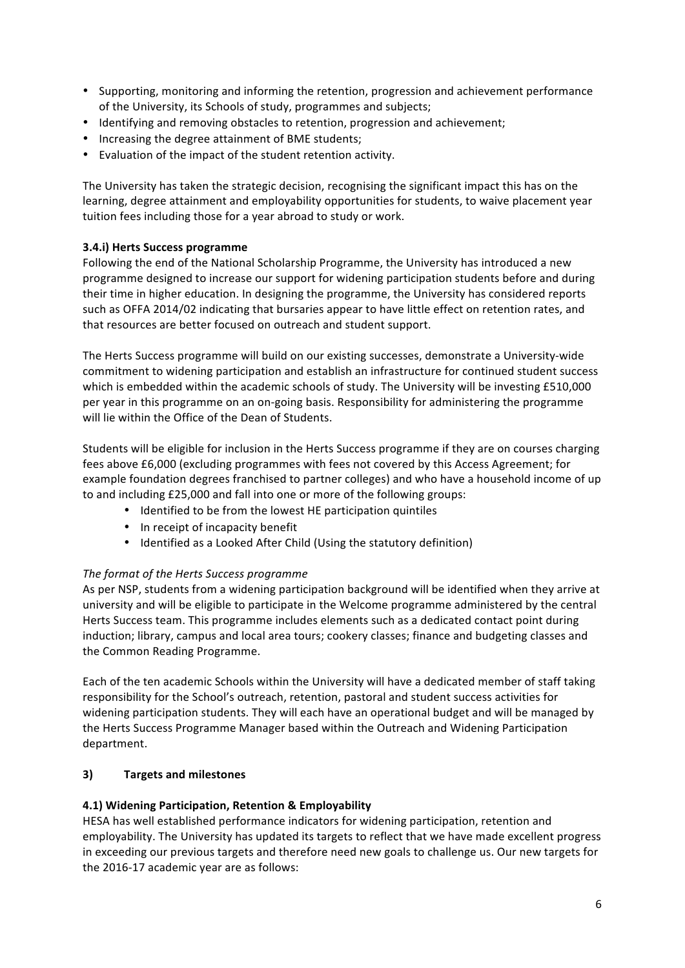- Supporting, monitoring and informing the retention, progression and achievement performance of the University, its Schools of study, programmes and subjects;
- Identifying and removing obstacles to retention, progression and achievement;
- Increasing the degree attainment of BME students;
- Evaluation of the impact of the student retention activity.

The University has taken the strategic decision, recognising the significant impact this has on the learning, degree attainment and employability opportunities for students, to waive placement year tuition fees including those for a year abroad to study or work.

#### **3.4.i) Herts Success programme**

Following the end of the National Scholarship Programme, the University has introduced a new programme designed to increase our support for widening participation students before and during their time in higher education. In designing the programme, the University has considered reports such as OFFA 2014/02 indicating that bursaries appear to have little effect on retention rates, and that resources are better focused on outreach and student support.

The Herts Success programme will build on our existing successes, demonstrate a University-wide commitment to widening participation and establish an infrastructure for continued student success which is embedded within the academic schools of study. The University will be investing £510,000 per year in this programme on an on-going basis. Responsibility for administering the programme will lie within the Office of the Dean of Students.

Students will be eligible for inclusion in the Herts Success programme if they are on courses charging fees above £6,000 (excluding programmes with fees not covered by this Access Agreement; for example foundation degrees franchised to partner colleges) and who have a household income of up to and including £25,000 and fall into one or more of the following groups:

- Identified to be from the lowest HE participation quintiles
- In receipt of incapacity benefit
- Identified as a Looked After Child (Using the statutory definition)

#### *The!format!of!the!Herts!Success programme*

As per NSP, students from a widening participation background will be identified when they arrive at university and will be eligible to participate in the Welcome programme administered by the central Herts Success team. This programme includes elements such as a dedicated contact point during induction; library, campus and local area tours; cookery classes; finance and budgeting classes and the Common Reading Programme.

Each of the ten academic Schools within the University will have a dedicated member of staff taking responsibility for the School's outreach, retention, pastoral and student success activities for widening participation students. They will each have an operational budget and will be managed by the Herts Success Programme Manager based within the Outreach and Widening Participation department.

#### **3) Targets!and!milestones**

#### **4.1)** Widening Participation, Retention & Employability

HESA has well established performance indicators for widening participation, retention and employability. The University has updated its targets to reflect that we have made excellent progress in exceeding our previous targets and therefore need new goals to challenge us. Our new targets for the 2016-17 academic year are as follows: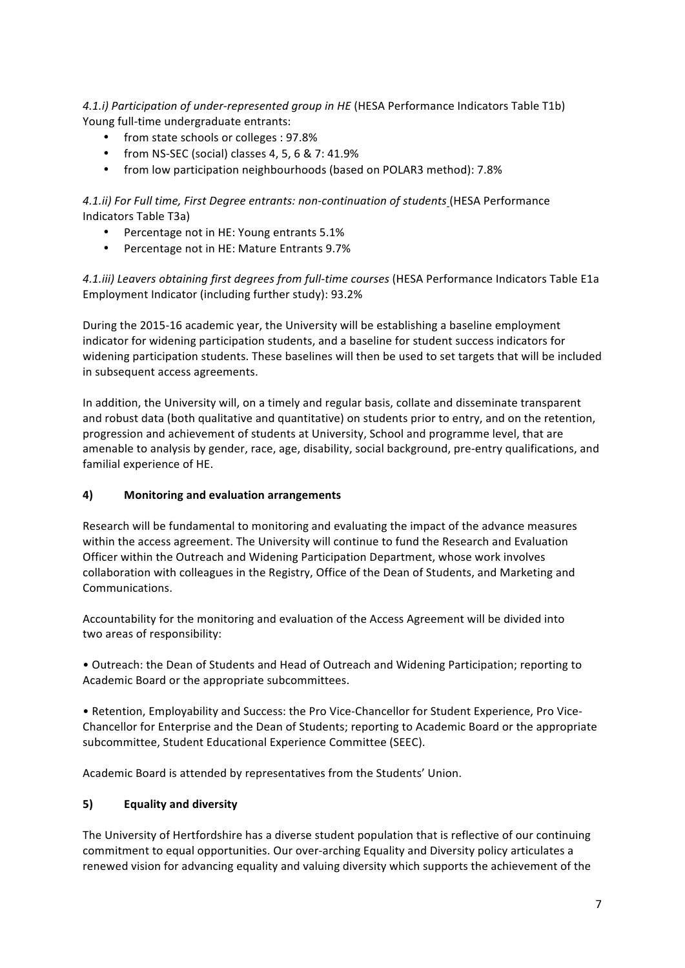*4.1.i) Participation of under-represented group in HE* (HESA Performance Indicators Table T1b) Young full-time undergraduate entrants:

- from state schools or colleges: 97.8%
- from NS-SEC (social) classes 4, 5, 6 & 7: 41.9%
- from low participation neighbourhoods (based on POLAR3 method): 7.8%

4.1.ii) For Full time, First Degree entrants: non-continuation of students (HESA Performance Indicators Table T3a)

- Percentage not in HE: Young entrants 5.1%
- Percentage not in HE: Mature Entrants 9.7%

4.1.iii) Leavers obtaining first degrees from full-time courses (HESA Performance Indicators Table E1a Employment Indicator (including further study): 93.2%

During the 2015-16 academic year, the University will be establishing a baseline employment indicator for widening participation students, and a baseline for student success indicators for widening participation students. These baselines will then be used to set targets that will be included in subsequent access agreements.

In addition, the University will, on a timely and regular basis, collate and disseminate transparent and robust data (both qualitative and quantitative) on students prior to entry, and on the retention, progression and achievement of students at University, School and programme level, that are amenable to analysis by gender, race, age, disability, social background, pre-entry qualifications, and familial experience of HE.

## **4) Monitoring!and!evaluation!arrangements**

Research will be fundamental to monitoring and evaluating the impact of the advance measures within the access agreement. The University will continue to fund the Research and Evaluation Officer within the Outreach and Widening Participation Department, whose work involves collaboration with colleagues in the Registry, Office of the Dean of Students, and Marketing and Communications.

Accountability for the monitoring and evaluation of the Access Agreement will be divided into two areas of responsibility:

• Outreach: the Dean of Students and Head of Outreach and Widening Participation; reporting to Academic Board or the appropriate subcommittees.

• Retention, Employability and Success: the Pro Vice-Chancellor for Student Experience, Pro Vice-Chancellor for Enterprise and the Dean of Students; reporting to Academic Board or the appropriate subcommittee, Student Educational Experience Committee (SEEC).

Academic Board is attended by representatives from the Students' Union.

## **5) Equality and diversity**

The University of Hertfordshire has a diverse student population that is reflective of our continuing commitment to equal opportunities. Our over-arching Equality and Diversity policy articulates a renewed vision for advancing equality and valuing diversity which supports the achievement of the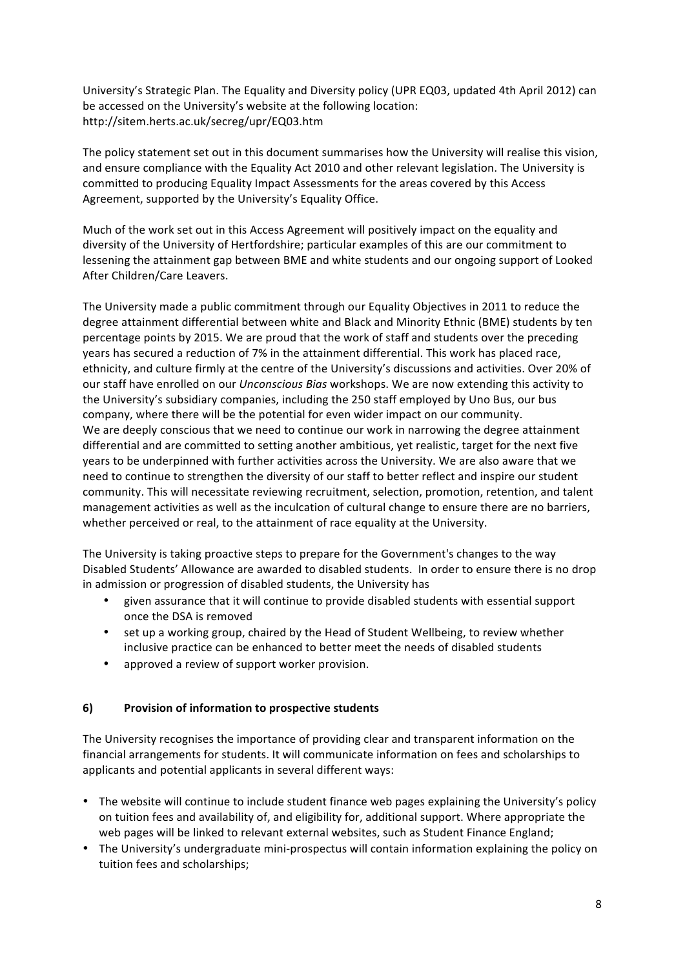University's Strategic Plan. The Equality and Diversity policy (UPR EQ03, updated 4th April 2012) can be accessed on the University's website at the following location: http://sitem.herts.ac.uk/secreg/upr/EQ03.htm

The policy statement set out in this document summarises how the University will realise this vision, and ensure compliance with the Equality Act 2010 and other relevant legislation. The University is committed to producing Equality Impact Assessments for the areas covered by this Access Agreement, supported by the University's Equality Office.

Much of the work set out in this Access Agreement will positively impact on the equality and diversity of the University of Hertfordshire; particular examples of this are our commitment to lessening the attainment gap between BME and white students and our ongoing support of Looked After Children/Care Leavers.

The University made a public commitment through our Equality Objectives in 2011 to reduce the degree attainment differential between white and Black and Minority Ethnic (BME) students by ten percentage points by 2015. We are proud that the work of staff and students over the preceding years has secured a reduction of 7% in the attainment differential. This work has placed race, ethnicity, and culture firmly at the centre of the University's discussions and activities. Over 20% of our staff have enrolled on our *Unconscious Bias* workshops. We are now extending this activity to the University's subsidiary companies, including the 250 staff employed by Uno Bus, our bus company, where there will be the potential for even wider impact on our community. We are deeply conscious that we need to continue our work in narrowing the degree attainment differential and are committed to setting another ambitious, yet realistic, target for the next five years to be underpinned with further activities across the University. We are also aware that we need to continue to strengthen the diversity of our staff to better reflect and inspire our student community. This will necessitate reviewing recruitment, selection, promotion, retention, and talent management activities as well as the inculcation of cultural change to ensure there are no barriers, whether perceived or real, to the attainment of race equality at the University.

The University is taking proactive steps to prepare for the Government's changes to the way Disabled Students' Allowance are awarded to disabled students. In order to ensure there is no drop in admission or progression of disabled students, the University has

- given assurance that it will continue to provide disabled students with essential support once the DSA is removed
- set up a working group, chaired by the Head of Student Wellbeing, to review whether inclusive practice can be enhanced to better meet the needs of disabled students
- approved a review of support worker provision.

## **6)** Provision of information to prospective students

The University recognises the importance of providing clear and transparent information on the financial arrangements for students. It will communicate information on fees and scholarships to applicants and potential applicants in several different ways:

- The website will continue to include student finance web pages explaining the University's policy on tuition fees and availability of, and eligibility for, additional support. Where appropriate the web pages will be linked to relevant external websites, such as Student Finance England;
- The University's undergraduate mini-prospectus will contain information explaining the policy on tuition fees and scholarships;